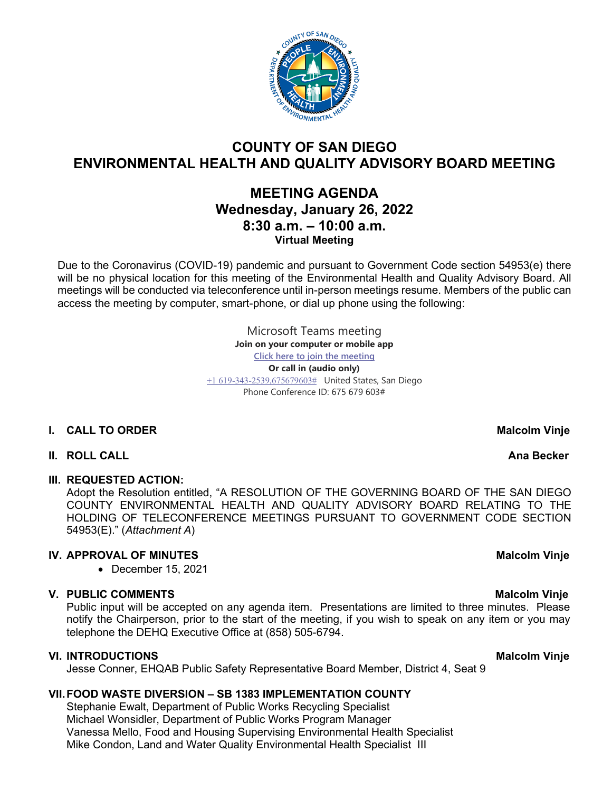

# **COUNTY OF SAN DIEGO ENVIRONMENTAL HEALTH AND QUALITY ADVISORY BOARD MEETING**

# **MEETING AGENDA Wednesday, January 26, 2022 8:30 a.m. – 10:00 a.m. Virtual Meeting**

Due to the Coronavirus (COVID-19) pandemic and pursuant to Government Code section 54953(e) there will be no physical location for this meeting of the Environmental Health and Quality Advisory Board. All meetings will be conducted via teleconference until in-person meetings resume. Members of the public can access the meeting by computer, smart-phone, or dial up phone using the following:

> Microsoft Teams meeting **Join on your computer or mobile app [Click here to join the meeting](https://teams.microsoft.com/l/meetup-join/19%3ameeting_YTBhMzBhYjctMTVmZi00N2ZjLThiMDEtNDIwOTliMTc5YWYz%40thread.v2/0?context=%7b%22Tid%22%3a%224563af13-c029-41b3-b74c-965e8eec8f96%22%2c%22Oid%22%3a%224570e91c-15b4-44d5-a1ca-564bec5e2a6c%22%7d) Or call in (audio only)** [+1 619-343-2539,675679603#](tel:+16193432539,,675679603#%20) United States, San Diego Phone Conference ID: 675 679 603#

## **I.** CALL TO ORDER MALCOLL TO ORDER MALCOLL TO UP A LATE OF A LATE OF A LATE OF A LATE OF A LATE OF A LATE OF A LATE OF A LATE OF A LATE OF A LATE OF A LATE OF A LATE OF A LATE OF A LATE OF A LATE OF A LATE OF A LATE OF A

## **II.** ROLL CALL **AND REALL AND REALL AND REALL AND REALLY AND REALLY AND REALLY AND REALLY AND REALLY AND REALLY AND REALLY AND REALLY AND REALLY AND REALLY AND REALLY AND REALLY AND REALLY AND REALLY AND REALLY AND REALLY**

### **III. REQUESTED ACTION:**

Adopt the Resolution entitled, "A RESOLUTION OF THE GOVERNING BOARD OF THE SAN DIEGO COUNTY ENVIRONMENTAL HEALTH AND QUALITY ADVISORY BOARD RELATING TO THE HOLDING OF TELECONFERENCE MEETINGS PURSUANT TO GOVERNMENT CODE SECTION 54953(E)." (*Attachment A*)

# **IV. APPROVAL OF MINUTES** Malcolm Vinje

• December 15, 2021

## **V. PUBLIC COMMENTS Material Community Community Community Community Community Community Community Community Community Community Community Community Community Community Community Community Community Community Community Com**

Public input will be accepted on any agenda item. Presentations are limited to three minutes. Please notify the Chairperson, prior to the start of the meeting, if you wish to speak on any item or you may telephone the DEHQ Executive Office at (858) 505-6794.

### **VI.** INTRODUCTIONS MALCOLLE THE SECOND VIOLET CONTROLLER MALCOLLE THE MALCOLLE MANUSCRIPT OF MALCOLLER MALCOLLE

Jesse Conner, EHQAB Public Safety Representative Board Member, District 4, Seat 9

## **VII.FOOD WASTE DIVERSION – SB 1383 IMPLEMENTATION COUNTY**

Stephanie Ewalt, Department of Public Works Recycling Specialist Michael Wonsidler, Department of Public Works Program Manager Vanessa Mello, Food and Housing Supervising Environmental Health Specialist Mike Condon, Land and Water Quality Environmental Health Specialist III